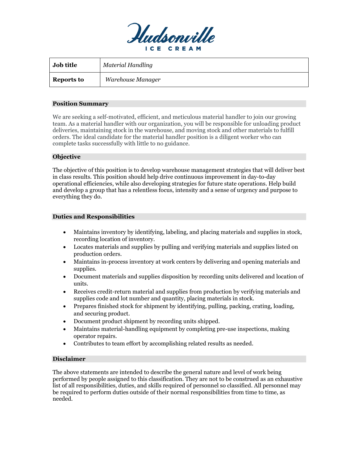

| <b>Job title</b>  | Material Handling |
|-------------------|-------------------|
| <b>Reports to</b> | Warehouse Manager |

### **Position Summary**

We are seeking a self-motivated, efficient, and meticulous material handler to join our growing team. As a material handler with our organization, you will be responsible for unloading product deliveries, maintaining stock in the warehouse, and moving stock and other materials to fulfill orders. The ideal candidate for the material handler position is a diligent worker who can complete tasks successfully with little to no guidance.

### **Objective**

The objective of this position is to develop warehouse management strategies that will deliver best in class results. This position should help drive continuous improvement in day-to-day operational efficiencies, while also developing strategies for future state operations. Help build and develop a group that has a relentless focus, intensity and a sense of urgency and purpose to everything they do.

### **Duties and Responsibilities**

- Maintains inventory by identifying, labeling, and placing materials and supplies in stock, recording location of inventory.
- Locates materials and supplies by pulling and verifying materials and supplies listed on production orders.
- Maintains in-process inventory at work centers by delivering and opening materials and supplies.
- Document materials and supplies disposition by recording units delivered and location of units.
- Receives credit-return material and supplies from production by verifying materials and supplies code and lot number and quantity, placing materials in stock.
- Prepares finished stock for shipment by identifying, pulling, packing, crating, loading, and securing product.
- Document product shipment by recording units shipped.
- Maintains material-handling equipment by completing pre-use inspections, making operator repairs.
- Contributes to team effort by accomplishing related results as needed.

# **Disclaimer**

The above statements are intended to describe the general nature and level of work being performed by people assigned to this classification. They are not to be construed as an exhaustive list of all responsibilities, duties, and skills required of personnel so classified. All personnel may be required to perform duties outside of their normal responsibilities from time to time, as needed.